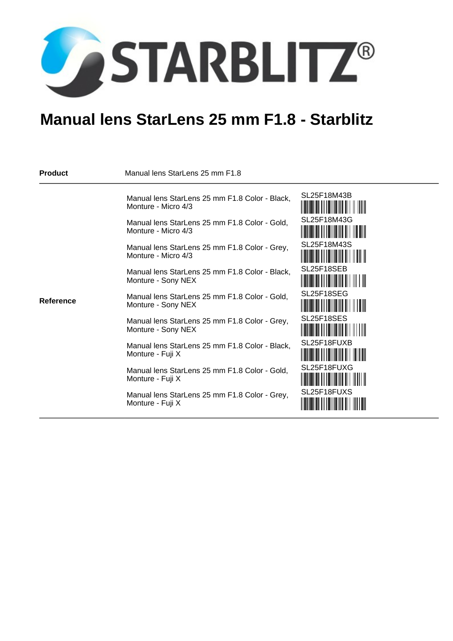

## **Manual lens StarLens 25 mm F1.8 - Starblitz**

| SL25F18M43B<br>Manual lens StarLens 25 mm F1.8 Color - Black,<br>Monture - Micro 4/3           |  |
|------------------------------------------------------------------------------------------------|--|
|                                                                                                |  |
| SL25F18M43G<br>Manual lens StarLens 25 mm F1.8 Color - Gold,<br>Monture - Micro 4/3            |  |
| SL25F18M43S<br>Manual lens StarLens 25 mm F1.8 Color - Grey,<br>Monture - Micro 4/3            |  |
| SL25F18SEB<br>Manual lens StarLens 25 mm F1.8 Color - Black,<br>Monture - Sony NEX             |  |
| SL25F18SEG<br>Manual lens StarLens 25 mm F1.8 Color - Gold,<br>Reference<br>Monture - Sony NEX |  |
| SL25F18SES<br>Manual lens StarLens 25 mm F1.8 Color - Grey,<br>Monture - Sony NEX              |  |
| SL25F18FUXB<br>Manual lens StarLens 25 mm F1.8 Color - Black,<br>Monture - Fuji X              |  |
| SL25F18FUXG<br>Manual lens StarLens 25 mm F1.8 Color - Gold,<br>Monture - Fuji X               |  |
| SL25F18FUXS<br>Manual lens StarLens 25 mm F1.8 Color - Grey,<br>Monture - Fuji X               |  |